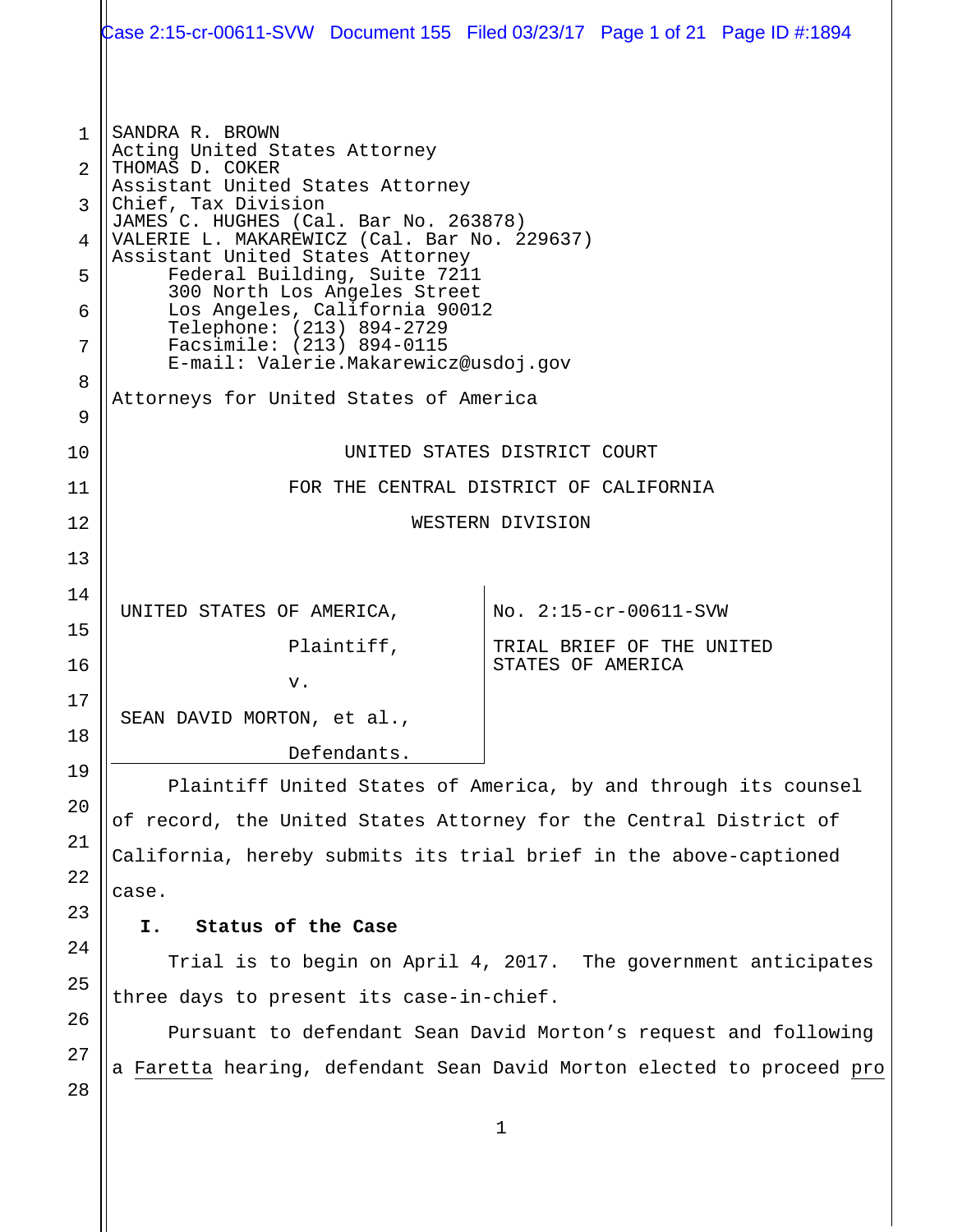|                                                              | Case 2:15-cr-00611-SVW Document 155 Filed 03/23/17 Page 1 of 21 Page ID #:1894                                                                                                                                                                                                                                                                                                                                                                                                                          |                                                |  |
|--------------------------------------------------------------|---------------------------------------------------------------------------------------------------------------------------------------------------------------------------------------------------------------------------------------------------------------------------------------------------------------------------------------------------------------------------------------------------------------------------------------------------------------------------------------------------------|------------------------------------------------|--|
| $\mathbf{1}$<br>$\mathfrak{D}$<br>3<br>4<br>5<br>6<br>7<br>8 | SANDRA R. BROWN<br>Acting United States Attorney<br>THOMAS D. COKER<br>Assistant United States Attorney<br>Chief, Tax Division<br>JAMES C. HUGHES (Cal. Bar No. 263878)<br>VALERIE L. MAKAREWICZ (Cal. Bar No. 229637)<br>Assistant United States Attorney<br>Federal Building, Suite 7211<br>300 North Los Angeles Street<br>Los Angeles, California 90012<br>Telephone: (213) 894-2729<br>Facsimile: (213) 894-0115<br>E-mail: Valerie.Makarewicz@usdoj.gov<br>Attorneys for United States of America |                                                |  |
| 9                                                            |                                                                                                                                                                                                                                                                                                                                                                                                                                                                                                         |                                                |  |
| 10                                                           | UNITED STATES DISTRICT COURT                                                                                                                                                                                                                                                                                                                                                                                                                                                                            |                                                |  |
| 11<br>12                                                     | FOR THE CENTRAL DISTRICT OF CALIFORNIA                                                                                                                                                                                                                                                                                                                                                                                                                                                                  |                                                |  |
| 13                                                           | WESTERN DIVISION                                                                                                                                                                                                                                                                                                                                                                                                                                                                                        |                                                |  |
| 14                                                           |                                                                                                                                                                                                                                                                                                                                                                                                                                                                                                         |                                                |  |
| 15                                                           | UNITED STATES OF AMERICA,                                                                                                                                                                                                                                                                                                                                                                                                                                                                               | No. 2:15-cr-00611-SVW                          |  |
| 16                                                           | Plaintiff,                                                                                                                                                                                                                                                                                                                                                                                                                                                                                              | TRIAL BRIEF OF THE UNITED<br>STATES OF AMERICA |  |
| 17                                                           | v.                                                                                                                                                                                                                                                                                                                                                                                                                                                                                                      |                                                |  |
| 18                                                           | SEAN DAVID MORTON, et al.,                                                                                                                                                                                                                                                                                                                                                                                                                                                                              |                                                |  |
| 19                                                           | Defendants.                                                                                                                                                                                                                                                                                                                                                                                                                                                                                             |                                                |  |
| 20                                                           | Plaintiff United States of America, by and through its counsel                                                                                                                                                                                                                                                                                                                                                                                                                                          |                                                |  |
| 21                                                           | of record, the United States Attorney for the Central District of                                                                                                                                                                                                                                                                                                                                                                                                                                       |                                                |  |
| 22                                                           | California, hereby submits its trial brief in the above-captioned                                                                                                                                                                                                                                                                                                                                                                                                                                       |                                                |  |
| 23                                                           | case.                                                                                                                                                                                                                                                                                                                                                                                                                                                                                                   |                                                |  |
| 24                                                           | Status of the Case<br>I.                                                                                                                                                                                                                                                                                                                                                                                                                                                                                |                                                |  |
| 25                                                           | Trial is to begin on April 4, 2017. The government anticipates                                                                                                                                                                                                                                                                                                                                                                                                                                          |                                                |  |
| 26                                                           | three days to present its case-in-chief.                                                                                                                                                                                                                                                                                                                                                                                                                                                                |                                                |  |
| 27                                                           | Pursuant to defendant Sean David Morton's request and following<br>a Faretta hearing, defendant Sean David Morton elected to proceed pro                                                                                                                                                                                                                                                                                                                                                                |                                                |  |
| 28                                                           |                                                                                                                                                                                                                                                                                                                                                                                                                                                                                                         |                                                |  |
|                                                              |                                                                                                                                                                                                                                                                                                                                                                                                                                                                                                         | 1                                              |  |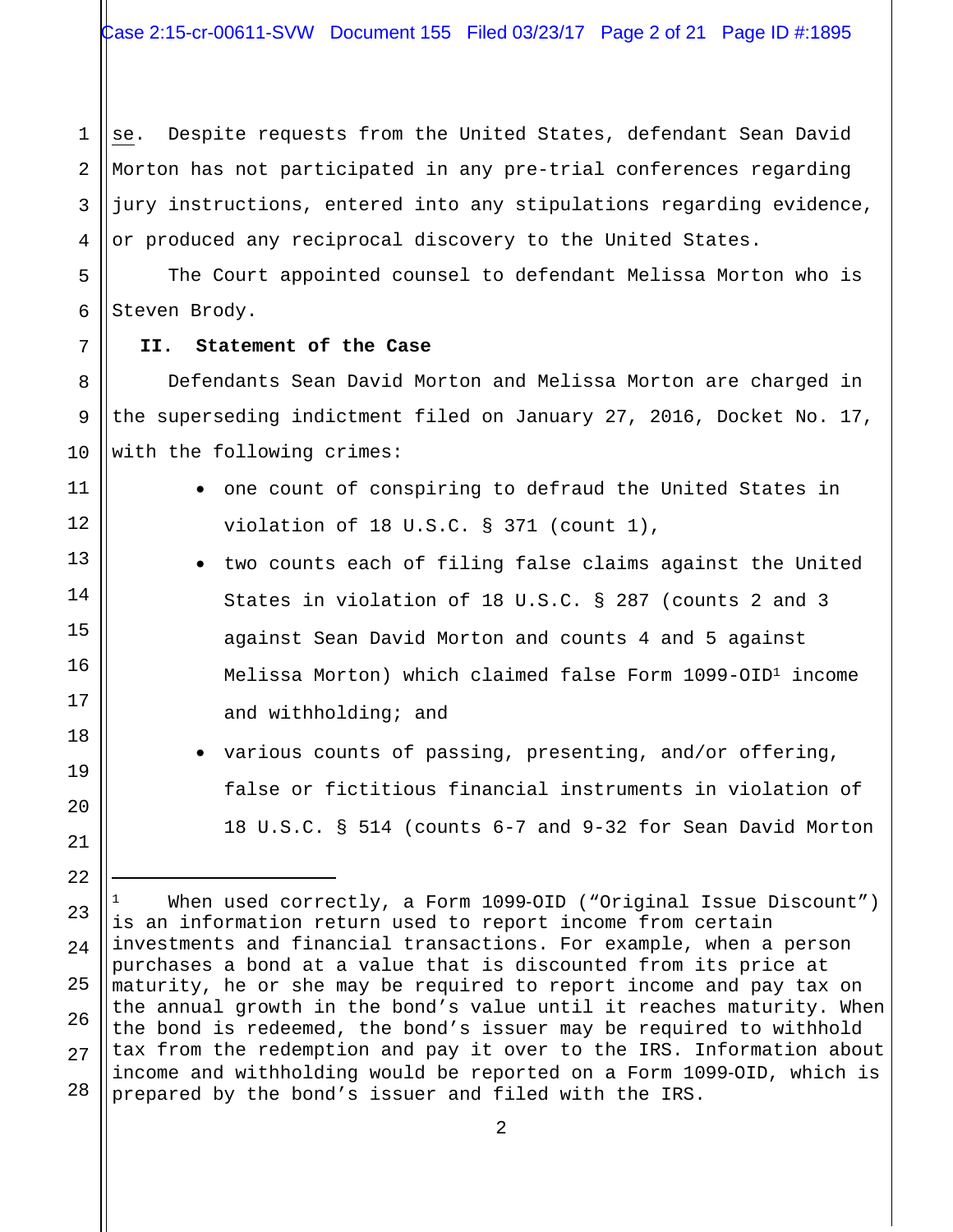1 2 3 4 se. Despite requests from the United States, defendant Sean David Morton has not participated in any pre-trial conferences regarding jury instructions, entered into any stipulations regarding evidence, or produced any reciprocal discovery to the United States.

5 6 The Court appointed counsel to defendant Melissa Morton who is Steven Brody.

#### **II. Statement of the Case**

7

8

9

10

11

12

13

14

15

16

17

18

19

20

21

22

 $\overline{\phantom{0}}$ 

 Defendants Sean David Morton and Melissa Morton are charged in the superseding indictment filed on January 27, 2016, Docket No. 17, with the following crimes:

- one count of conspiring to defraud the United States in violation of 18 U.S.C. § 371 (count 1),
- two counts each of filing false claims against the United States in violation of 18 U.S.C. § 287 (counts 2 and 3 against Sean David Morton and counts 4 and 5 against Melissa Morton) which claimed false Form 1099-OID1 income and withholding; and
	- various counts of passing, presenting, and/or offering, false or fictitious financial instruments in violation of 18 U.S.C. § 514 (counts 6-7 and 9-32 for Sean David Morton

23 24 25 26 27 28 When used correctly, a Form 1099-OID ("Original Issue Discount") is an information return used to report income from certain investments and financial transactions. For example, when a person purchases a bond at a value that is discounted from its price at maturity, he or she may be required to report income and pay tax on the annual growth in the bond's value until it reaches maturity. When the bond is redeemed, the bond's issuer may be required to withhold tax from the redemption and pay it over to the IRS. Information about income and withholding would be reported on a Form 1099‐OID, which is prepared by the bond's issuer and filed with the IRS.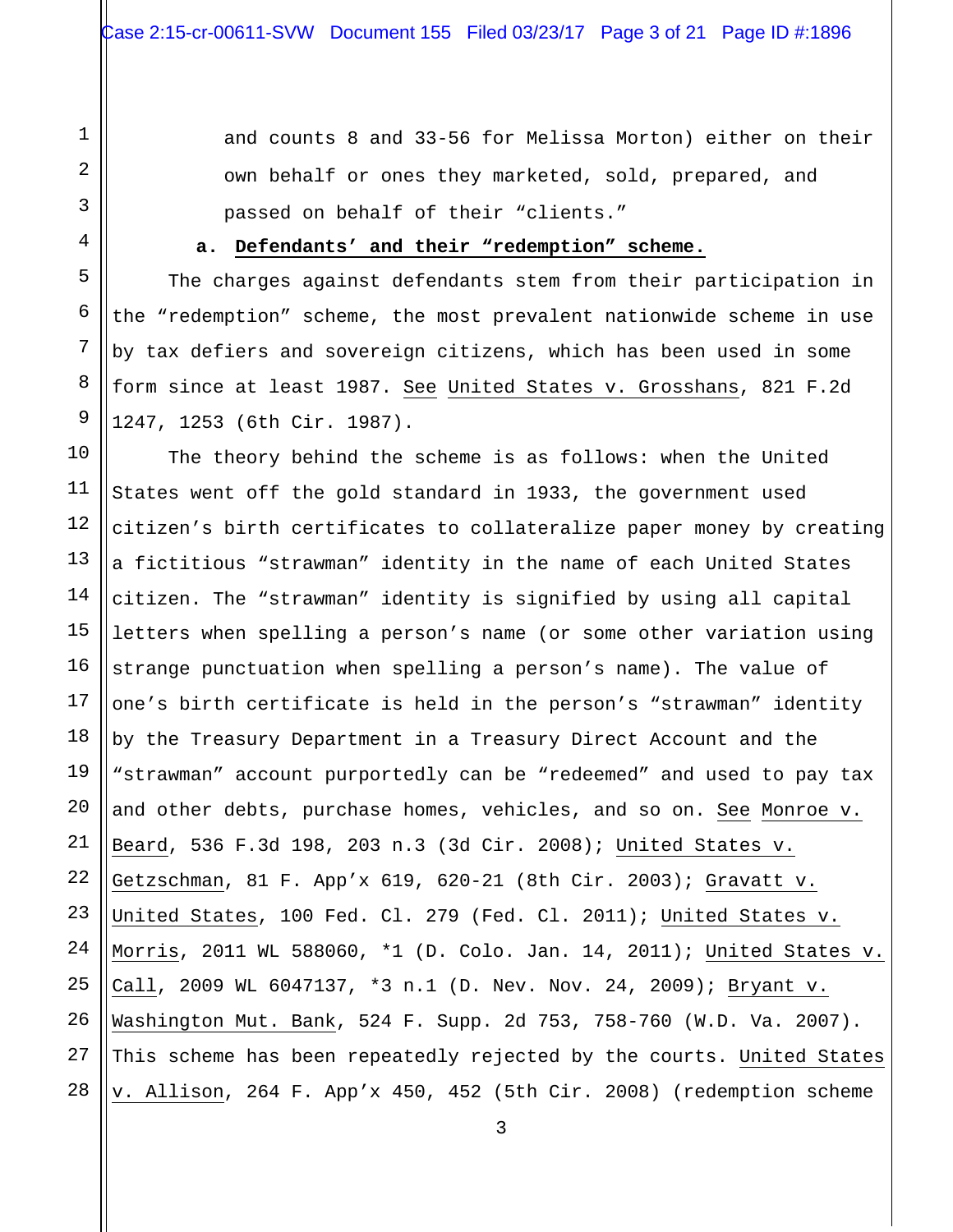1

2

3

4

5

6

7

8

9

and counts 8 and 33-56 for Melissa Morton) either on their own behalf or ones they marketed, sold, prepared, and passed on behalf of their "clients."

### **a. Defendants' and their "redemption" scheme.**

The charges against defendants stem from their participation in the "redemption" scheme, the most prevalent nationwide scheme in use by tax defiers and sovereign citizens, which has been used in some form since at least 1987. See United States v. Grosshans, 821 F.2d 1247, 1253 (6th Cir. 1987).

10 11 12 13 14 15 16 17 18 19 20 21 22 23 24 25 26 27 28 The theory behind the scheme is as follows: when the United States went off the gold standard in 1933, the government used citizen's birth certificates to collateralize paper money by creating a fictitious "strawman" identity in the name of each United States citizen. The "strawman" identity is signified by using all capital letters when spelling a person's name (or some other variation using strange punctuation when spelling a person's name). The value of one's birth certificate is held in the person's "strawman" identity by the Treasury Department in a Treasury Direct Account and the "strawman" account purportedly can be "redeemed" and used to pay tax and other debts, purchase homes, vehicles, and so on. See Monroe v. Beard, 536 F.3d 198, 203 n.3 (3d Cir. 2008); United States v. Getzschman, 81 F. App'x 619, 620-21 (8th Cir. 2003); Gravatt v. United States, 100 Fed. Cl. 279 (Fed. Cl. 2011); United States v. Morris, 2011 WL 588060, \*1 (D. Colo. Jan. 14, 2011); United States v. Call, 2009 WL 6047137, \*3 n.1 (D. Nev. Nov. 24, 2009); Bryant v. Washington Mut. Bank, 524 F. Supp. 2d 753, 758-760 (W.D. Va. 2007). This scheme has been repeatedly rejected by the courts. United States v. Allison, 264 F. App'x 450, 452 (5th Cir. 2008) (redemption scheme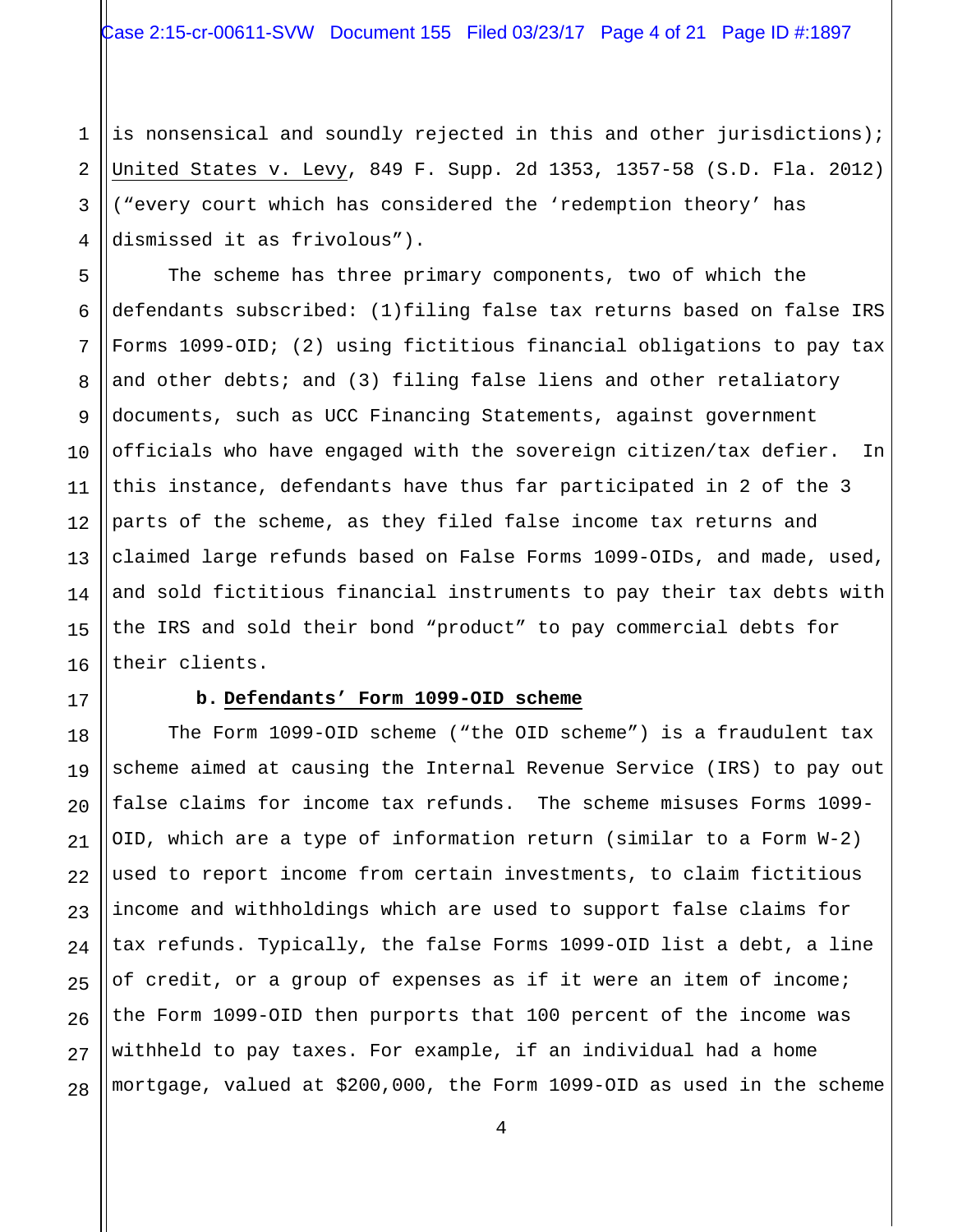1 2 3 4 is nonsensical and soundly rejected in this and other jurisdictions); United States v. Levy, 849 F. Supp. 2d 1353, 1357-58 (S.D. Fla. 2012) ("every court which has considered the 'redemption theory' has dismissed it as frivolous").

5 6 7 8 9 10 11 12 The scheme has three primary components, two of which the defendants subscribed: (1)filing false tax returns based on false IRS Forms 1099-OID; (2) using fictitious financial obligations to pay tax and other debts; and (3) filing false liens and other retaliatory documents, such as UCC Financing Statements, against government officials who have engaged with the sovereign citizen/tax defier. In this instance, defendants have thus far participated in 2 of the 3 parts of the scheme, as they filed false income tax returns and claimed large refunds based on False Forms 1099-OIDs, and made, used, and sold fictitious financial instruments to pay their tax debts with the IRS and sold their bond "product" to pay commercial debts for their clients.

### **b. Defendants' Form 1099-OID scheme**

The Form 1099-OID scheme ("the OID scheme") is a fraudulent tax scheme aimed at causing the Internal Revenue Service (IRS) to pay out false claims for income tax refunds. The scheme misuses Forms 1099- OID, which are a type of information return (similar to a Form W-2) used to report income from certain investments, to claim fictitious income and withholdings which are used to support false claims for tax refunds. Typically, the false Forms 1099-OID list a debt, a line of credit, or a group of expenses as if it were an item of income; the Form 1099-OID then purports that 100 percent of the income was withheld to pay taxes. For example, if an individual had a home mortgage, valued at \$200,000, the Form 1099-OID as used in the scheme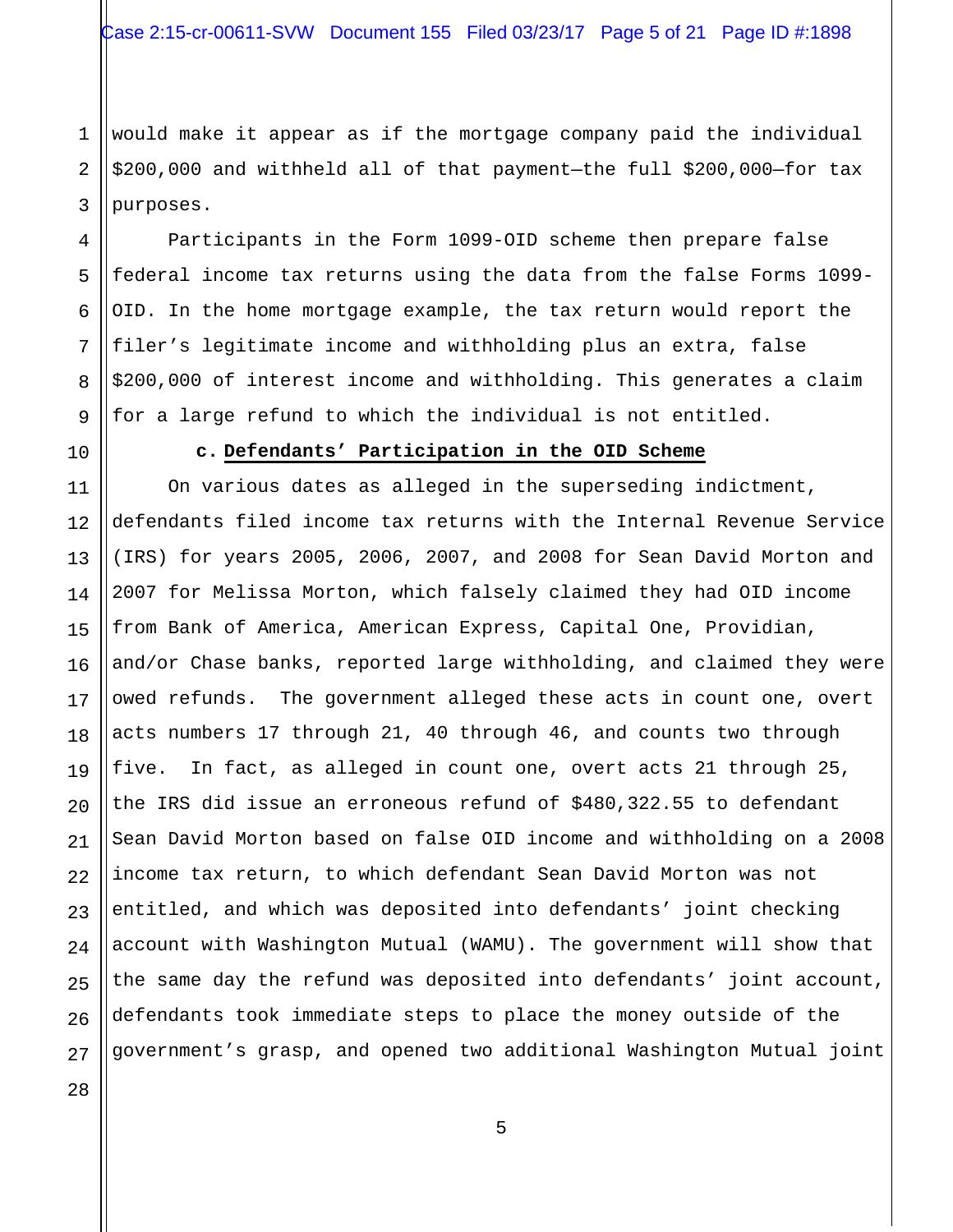1 2 3 would make it appear as if the mortgage company paid the individual \$200,000 and withheld all of that payment—the full \$200,000—for tax purposes.

Participants in the Form 1099-OID scheme then prepare false federal income tax returns using the data from the false Forms 1099- OID. In the home mortgage example, the tax return would report the filer's legitimate income and withholding plus an extra, false \$200,000 of interest income and withholding. This generates a claim for a large refund to which the individual is not entitled.

10

4

5

6

7

8

9

### **c. Defendants' Participation in the OID Scheme**

11 12 13 14 15 16 17 18 19 20 21 22 23 24 25 26 27 On various dates as alleged in the superseding indictment, defendants filed income tax returns with the Internal Revenue Service (IRS) for years 2005, 2006, 2007, and 2008 for Sean David Morton and 2007 for Melissa Morton, which falsely claimed they had OID income from Bank of America, American Express, Capital One, Providian, and/or Chase banks, reported large withholding, and claimed they were owed refunds. The government alleged these acts in count one, overt acts numbers 17 through 21, 40 through 46, and counts two through five. In fact, as alleged in count one, overt acts 21 through 25, the IRS did issue an erroneous refund of \$480,322.55 to defendant Sean David Morton based on false OID income and withholding on a 2008 income tax return, to which defendant Sean David Morton was not entitled, and which was deposited into defendants' joint checking account with Washington Mutual (WAMU). The government will show that the same day the refund was deposited into defendants' joint account, defendants took immediate steps to place the money outside of the government's grasp, and opened two additional Washington Mutual joint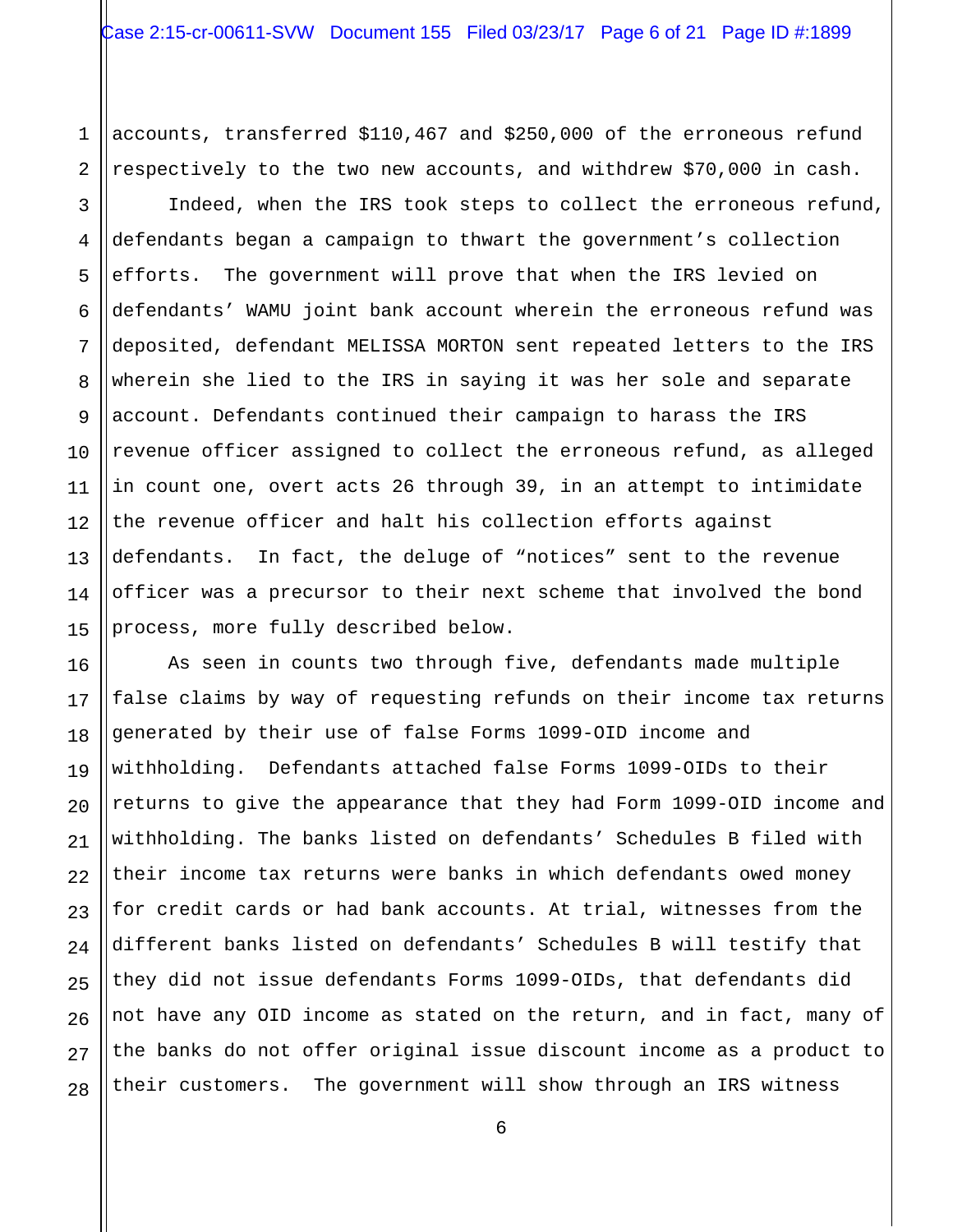1 2 accounts, transferred \$110,467 and \$250,000 of the erroneous refund respectively to the two new accounts, and withdrew \$70,000 in cash.

3 4 5 6 7 8 9 10 11 12 13 14 15 Indeed, when the IRS took steps to collect the erroneous refund, defendants began a campaign to thwart the government's collection efforts. The government will prove that when the IRS levied on defendants' WAMU joint bank account wherein the erroneous refund was deposited, defendant MELISSA MORTON sent repeated letters to the IRS wherein she lied to the IRS in saying it was her sole and separate account. Defendants continued their campaign to harass the IRS revenue officer assigned to collect the erroneous refund, as alleged in count one, overt acts 26 through 39, in an attempt to intimidate the revenue officer and halt his collection efforts against defendants. In fact, the deluge of "notices" sent to the revenue officer was a precursor to their next scheme that involved the bond process, more fully described below.

16 17 18 19 20 21 22 23 24 25 26 27 28 As seen in counts two through five, defendants made multiple false claims by way of requesting refunds on their income tax returns generated by their use of false Forms 1099-OID income and withholding. Defendants attached false Forms 1099-OIDs to their returns to give the appearance that they had Form 1099-OID income and withholding. The banks listed on defendants' Schedules B filed with their income tax returns were banks in which defendants owed money for credit cards or had bank accounts. At trial, witnesses from the different banks listed on defendants' Schedules B will testify that they did not issue defendants Forms 1099-OIDs, that defendants did not have any OID income as stated on the return, and in fact, many of the banks do not offer original issue discount income as a product to their customers. The government will show through an IRS witness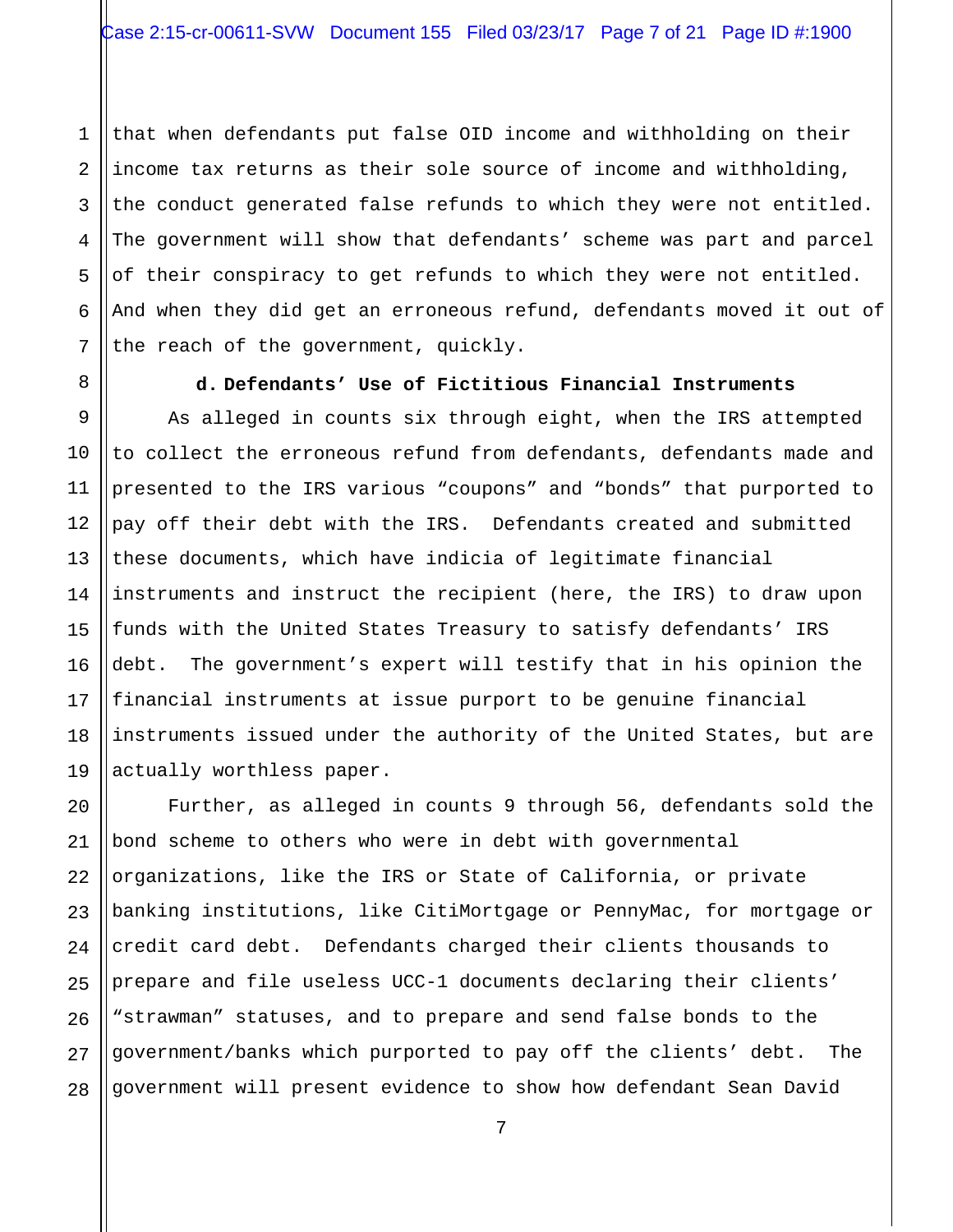1 2 3 4 5 6 7 that when defendants put false OID income and withholding on their income tax returns as their sole source of income and withholding, the conduct generated false refunds to which they were not entitled. The government will show that defendants' scheme was part and parcel of their conspiracy to get refunds to which they were not entitled. And when they did get an erroneous refund, defendants moved it out of the reach of the government, quickly.

9 10

11

12

13

14

15

16

17

18

19

8

# **d. Defendants' Use of Fictitious Financial Instruments**

As alleged in counts six through eight, when the IRS attempted to collect the erroneous refund from defendants, defendants made and presented to the IRS various "coupons" and "bonds" that purported to pay off their debt with the IRS. Defendants created and submitted these documents, which have indicia of legitimate financial instruments and instruct the recipient (here, the IRS) to draw upon funds with the United States Treasury to satisfy defendants' IRS debt. The government's expert will testify that in his opinion the financial instruments at issue purport to be genuine financial instruments issued under the authority of the United States, but are actually worthless paper.

20 21 22 23 24 25 26 27 28 Further, as alleged in counts 9 through 56, defendants sold the bond scheme to others who were in debt with governmental organizations, like the IRS or State of California, or private banking institutions, like CitiMortgage or PennyMac, for mortgage or credit card debt. Defendants charged their clients thousands to prepare and file useless UCC-1 documents declaring their clients' "strawman" statuses, and to prepare and send false bonds to the government/banks which purported to pay off the clients' debt. The government will present evidence to show how defendant Sean David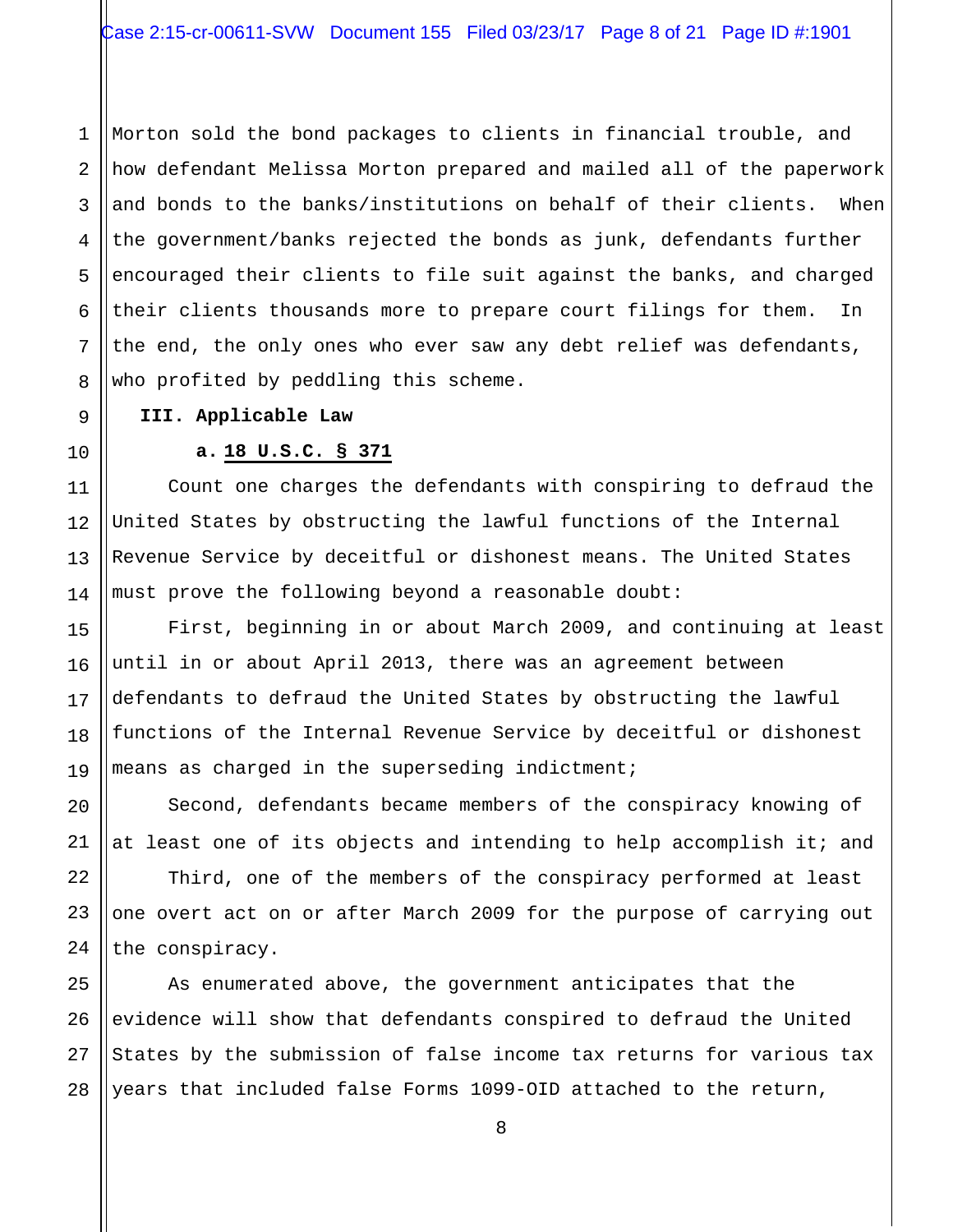1 2 3 4 Morton sold the bond packages to clients in financial trouble, and how defendant Melissa Morton prepared and mailed all of the paperwork and bonds to the banks/institutions on behalf of their clients. When the government/banks rejected the bonds as junk, defendants further encouraged their clients to file suit against the banks, and charged their clients thousands more to prepare court filings for them. In the end, the only ones who ever saw any debt relief was defendants, who profited by peddling this scheme.

### **III. Applicable Law**

# **a. 18 U.S.C. § 371**

Count one charges the defendants with conspiring to defraud the United States by obstructing the lawful functions of the Internal Revenue Service by deceitful or dishonest means. The United States must prove the following beyond a reasonable doubt:

First, beginning in or about March 2009, and continuing at least until in or about April 2013, there was an agreement between defendants to defraud the United States by obstructing the lawful functions of the Internal Revenue Service by deceitful or dishonest means as charged in the superseding indictment;

Second, defendants became members of the conspiracy knowing of at least one of its objects and intending to help accomplish it; and

Third, one of the members of the conspiracy performed at least one overt act on or after March 2009 for the purpose of carrying out the conspiracy.

As enumerated above, the government anticipates that the evidence will show that defendants conspired to defraud the United States by the submission of false income tax returns for various tax years that included false Forms 1099-OID attached to the return,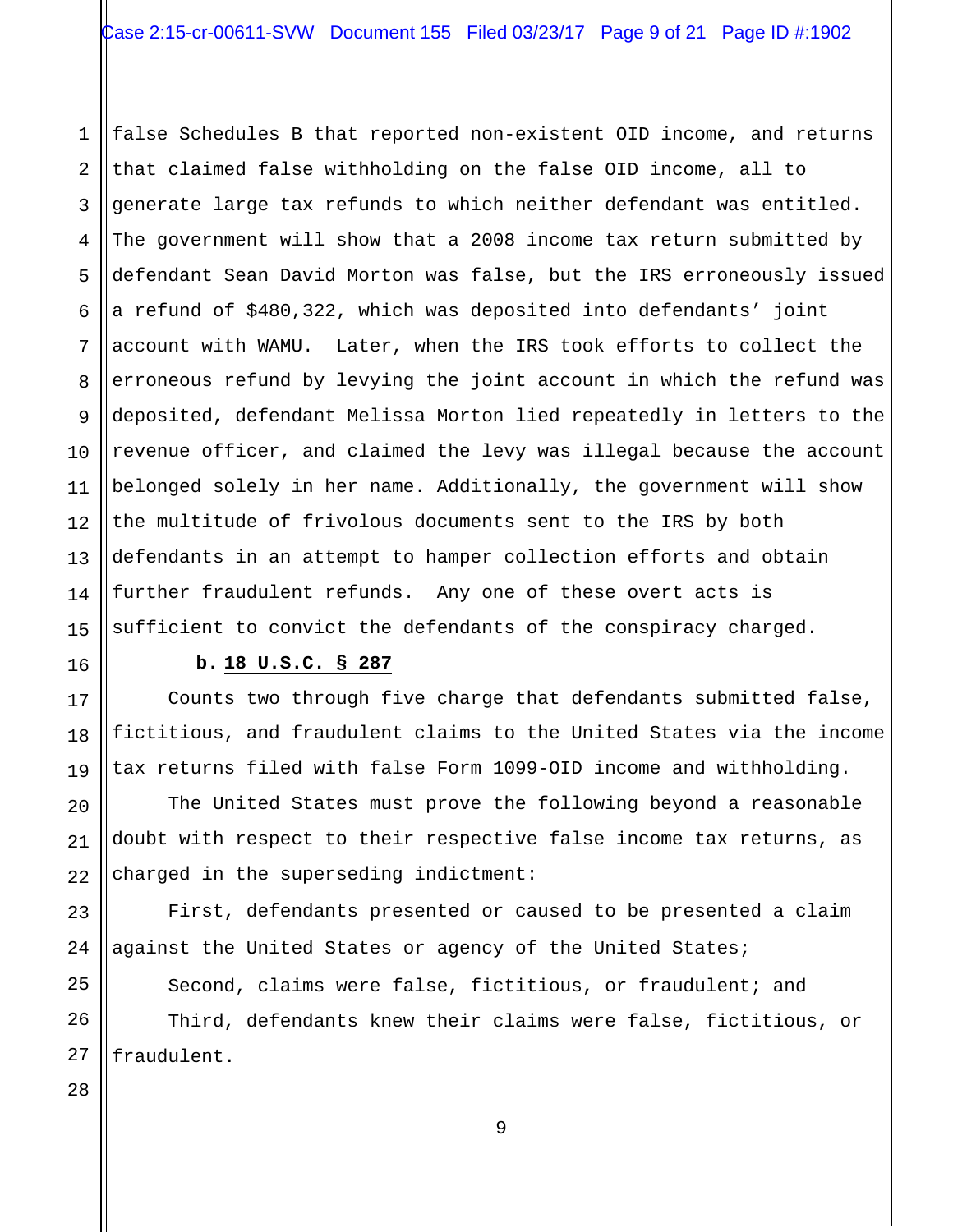1 2 3 4 5 6 7 8 9 10 11 12 13 14 15 false Schedules B that reported non-existent OID income, and returns that claimed false withholding on the false OID income, all to generate large tax refunds to which neither defendant was entitled. The government will show that a 2008 income tax return submitted by defendant Sean David Morton was false, but the IRS erroneously issued a refund of \$480,322, which was deposited into defendants' joint account with WAMU. Later, when the IRS took efforts to collect the erroneous refund by levying the joint account in which the refund was deposited, defendant Melissa Morton lied repeatedly in letters to the revenue officer, and claimed the levy was illegal because the account belonged solely in her name. Additionally, the government will show the multitude of frivolous documents sent to the IRS by both defendants in an attempt to hamper collection efforts and obtain further fraudulent refunds. Any one of these overt acts is sufficient to convict the defendants of the conspiracy charged.

# **b. 18 U.S.C. § 287**

Counts two through five charge that defendants submitted false, fictitious, and fraudulent claims to the United States via the income tax returns filed with false Form 1099-OID income and withholding.

The United States must prove the following beyond a reasonable doubt with respect to their respective false income tax returns, as charged in the superseding indictment:

First, defendants presented or caused to be presented a claim against the United States or agency of the United States;

Second, claims were false, fictitious, or fraudulent; and

Third, defendants knew their claims were false, fictitious, or fraudulent.

27 28

16

17

18

19

20

21

22

23

24

25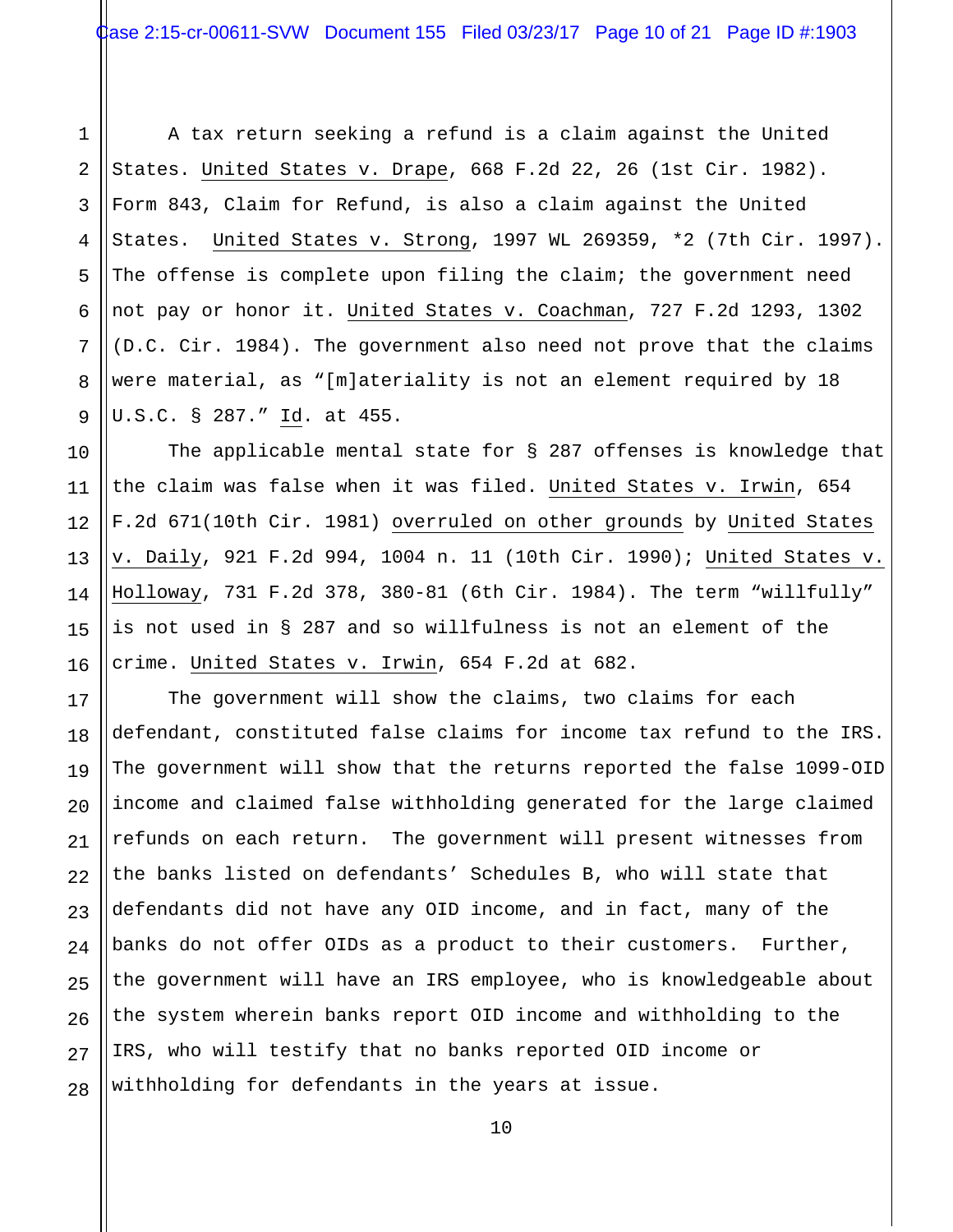1 2 3 4 5 6 7 8 9 A tax return seeking a refund is a claim against the United States. United States v. Drape, 668 F.2d 22, 26 (1st Cir. 1982). Form 843, Claim for Refund, is also a claim against the United States. United States v. Strong, 1997 WL 269359, \*2 (7th Cir. 1997). The offense is complete upon filing the claim; the government need not pay or honor it. United States v. Coachman, 727 F.2d 1293, 1302 (D.C. Cir. 1984). The government also need not prove that the claims were material, as "[m]ateriality is not an element required by 18 U.S.C. § 287." Id. at 455.

10 11 12 13 14 15 16 The applicable mental state for § 287 offenses is knowledge that the claim was false when it was filed. United States v. Irwin, 654 F.2d 671(10th Cir. 1981) overruled on other grounds by United States v. Daily, 921 F.2d 994, 1004 n. 11 (10th Cir. 1990); United States v. Holloway, 731 F.2d 378, 380-81 (6th Cir. 1984). The term "willfully" is not used in § 287 and so willfulness is not an element of the crime. United States v. Irwin, 654 F.2d at 682.

17

27

18 19 20 21 22 23 24 25 26 28 The government will show the claims, two claims for each defendant, constituted false claims for income tax refund to the IRS. The government will show that the returns reported the false 1099-OID income and claimed false withholding generated for the large claimed refunds on each return. The government will present witnesses from the banks listed on defendants' Schedules B, who will state that defendants did not have any OID income, and in fact, many of the banks do not offer OIDs as a product to their customers. Further, the government will have an IRS employee, who is knowledgeable about the system wherein banks report OID income and withholding to the IRS, who will testify that no banks reported OID income or withholding for defendants in the years at issue.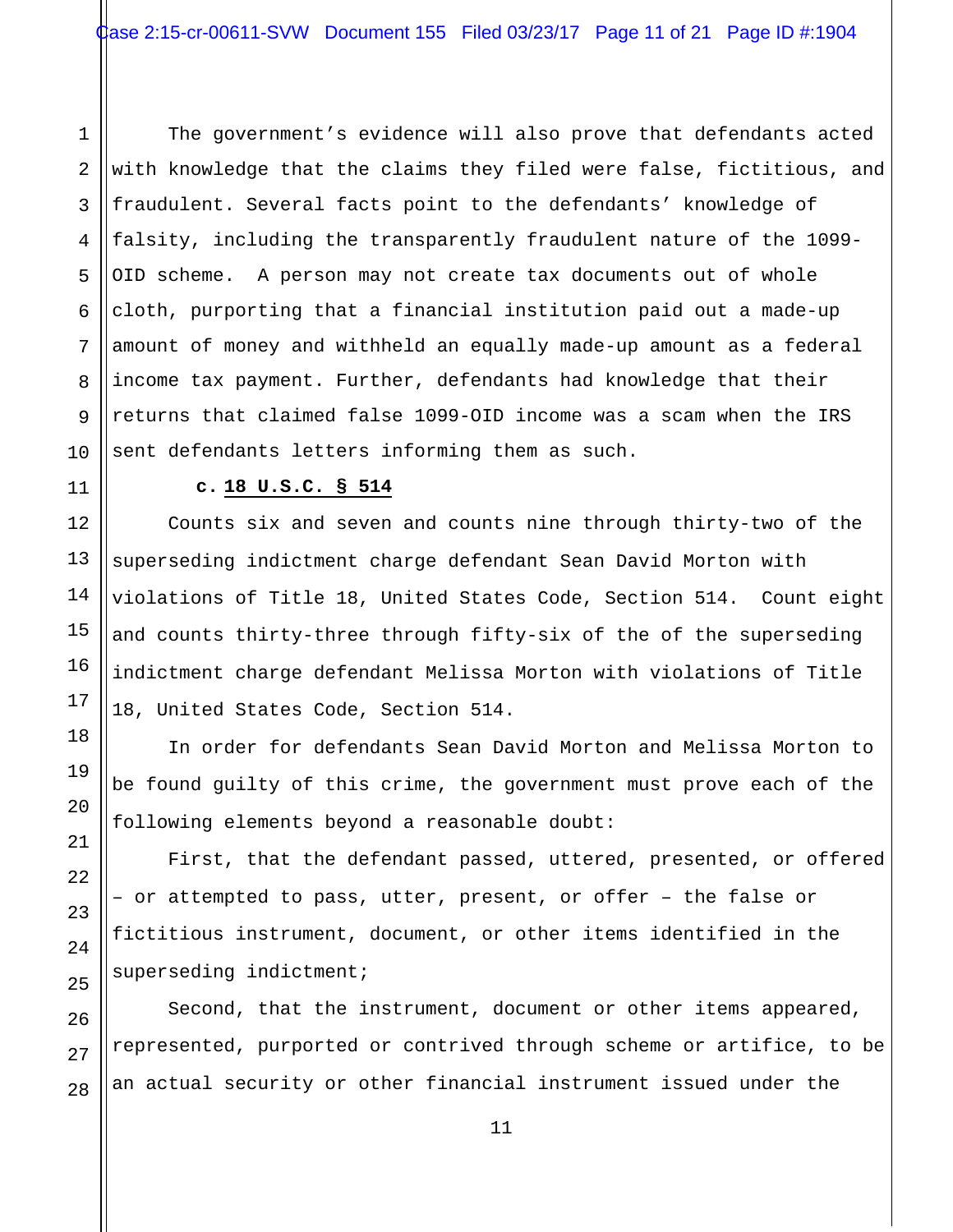1 2 The government's evidence will also prove that defendants acted with knowledge that the claims they filed were false, fictitious, and fraudulent. Several facts point to the defendants' knowledge of falsity, including the transparently fraudulent nature of the 1099- OID scheme. A person may not create tax documents out of whole cloth, purporting that a financial institution paid out a made-up amount of money and withheld an equally made-up amount as a federal income tax payment. Further, defendants had knowledge that their returns that claimed false 1099-OID income was a scam when the IRS sent defendants letters informing them as such.

**c. 18 U.S.C. § 514** 

Counts six and seven and counts nine through thirty-two of the superseding indictment charge defendant Sean David Morton with violations of Title 18, United States Code, Section 514. Count eight and counts thirty-three through fifty-six of the of the superseding indictment charge defendant Melissa Morton with violations of Title 18, United States Code, Section 514.

In order for defendants Sean David Morton and Melissa Morton to be found guilty of this crime, the government must prove each of the following elements beyond a reasonable doubt:

First, that the defendant passed, uttered, presented, or offered – or attempted to pass, utter, present, or offer – the false or fictitious instrument, document, or other items identified in the superseding indictment;

Second, that the instrument, document or other items appeared, represented, purported or contrived through scheme or artifice, to be an actual security or other financial instrument issued under the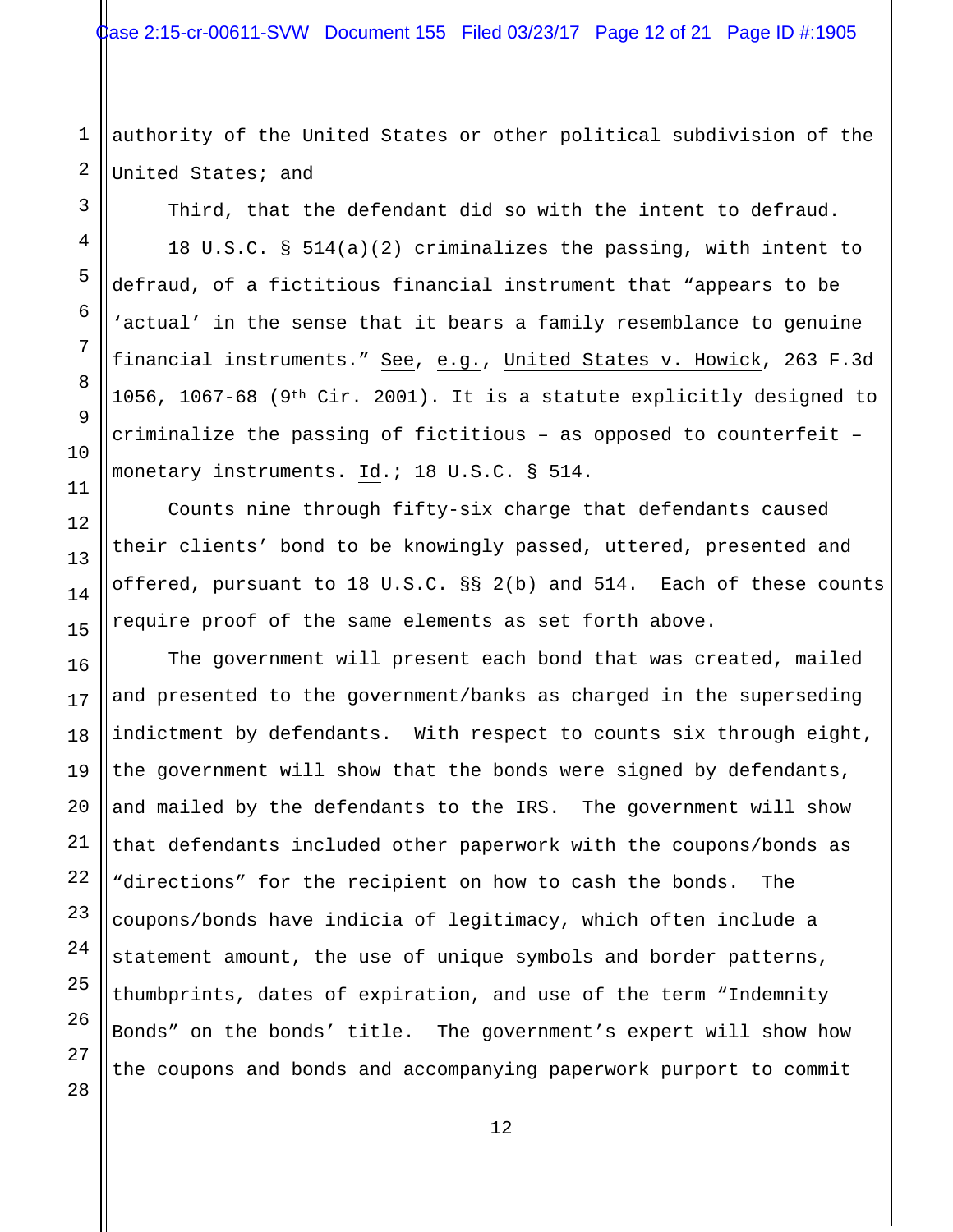1 2 authority of the United States or other political subdivision of the United States; and

Third, that the defendant did so with the intent to defraud.

18 U.S.C. § 514(a)(2) criminalizes the passing, with intent to defraud, of a fictitious financial instrument that "appears to be 'actual' in the sense that it bears a family resemblance to genuine financial instruments." See, e.g., United States v. Howick, 263 F.3d 1056, 1067-68 (9<sup>th</sup> Cir. 2001). It is a statute explicitly designed to criminalize the passing of fictitious – as opposed to counterfeit – monetary instruments. Id.; 18 U.S.C. § 514.

Counts nine through fifty-six charge that defendants caused their clients' bond to be knowingly passed, uttered, presented and offered, pursuant to 18 U.S.C. §§ 2(b) and 514. Each of these counts require proof of the same elements as set forth above.

The government will present each bond that was created, mailed and presented to the government/banks as charged in the superseding indictment by defendants. With respect to counts six through eight, the government will show that the bonds were signed by defendants, and mailed by the defendants to the IRS. The government will show that defendants included other paperwork with the coupons/bonds as "directions" for the recipient on how to cash the bonds. The coupons/bonds have indicia of legitimacy, which often include a statement amount, the use of unique symbols and border patterns, thumbprints, dates of expiration, and use of the term "Indemnity Bonds" on the bonds' title. The government's expert will show how the coupons and bonds and accompanying paperwork purport to commit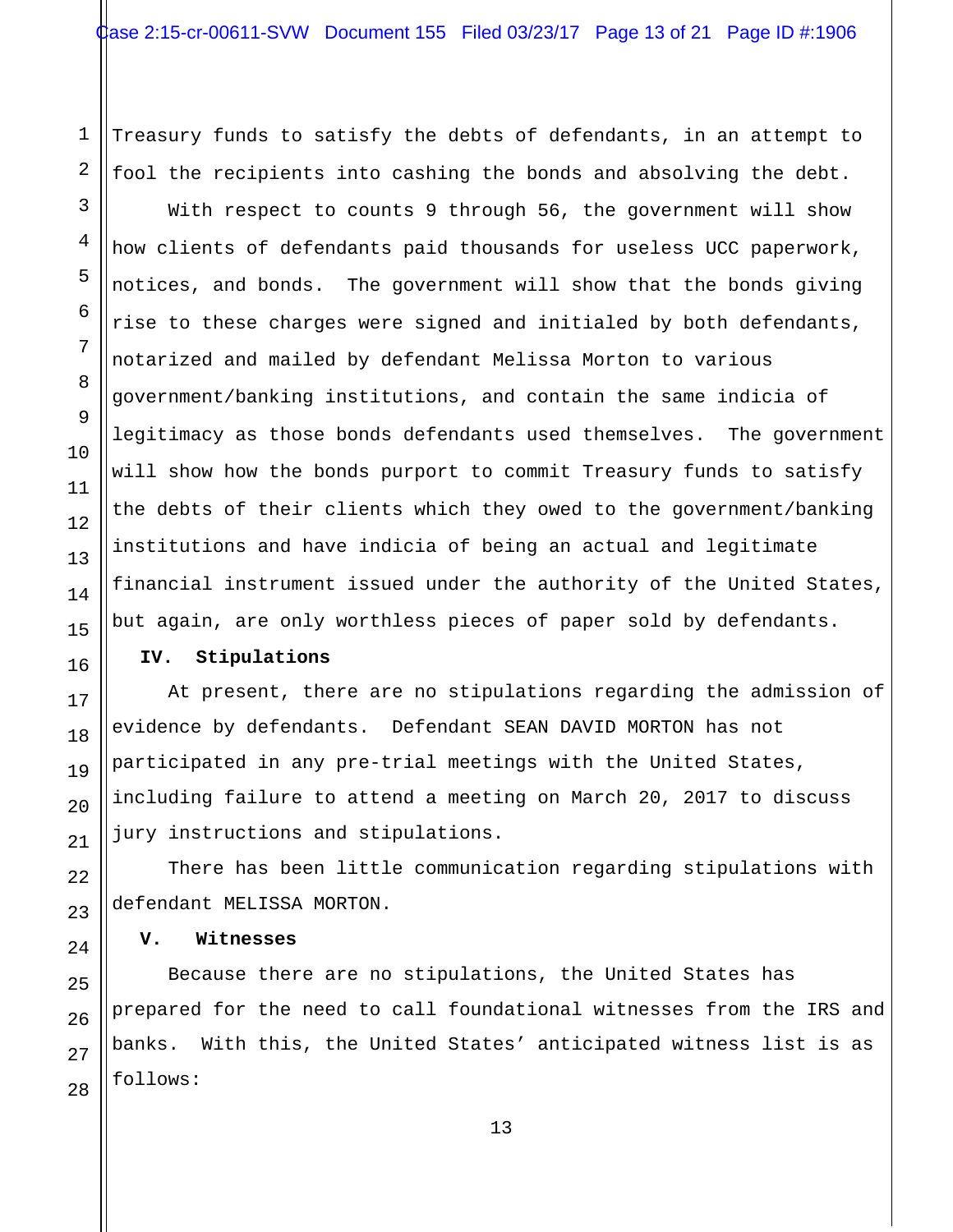Treasury funds to satisfy the debts of defendants, in an attempt to fool the recipients into cashing the bonds and absolving the debt.

With respect to counts 9 through 56, the government will show how clients of defendants paid thousands for useless UCC paperwork, notices, and bonds. The government will show that the bonds giving rise to these charges were signed and initialed by both defendants, notarized and mailed by defendant Melissa Morton to various government/banking institutions, and contain the same indicia of legitimacy as those bonds defendants used themselves. The government will show how the bonds purport to commit Treasury funds to satisfy the debts of their clients which they owed to the government/banking institutions and have indicia of being an actual and legitimate financial instrument issued under the authority of the United States, but again, are only worthless pieces of paper sold by defendants.

### **IV. Stipulations**

At present, there are no stipulations regarding the admission of evidence by defendants. Defendant SEAN DAVID MORTON has not participated in any pre-trial meetings with the United States, including failure to attend a meeting on March 20, 2017 to discuss jury instructions and stipulations.

There has been little communication regarding stipulations with defendant MELISSA MORTON.

### **V. Witnesses**

Because there are no stipulations, the United States has prepared for the need to call foundational witnesses from the IRS and banks. With this, the United States' anticipated witness list is as follows: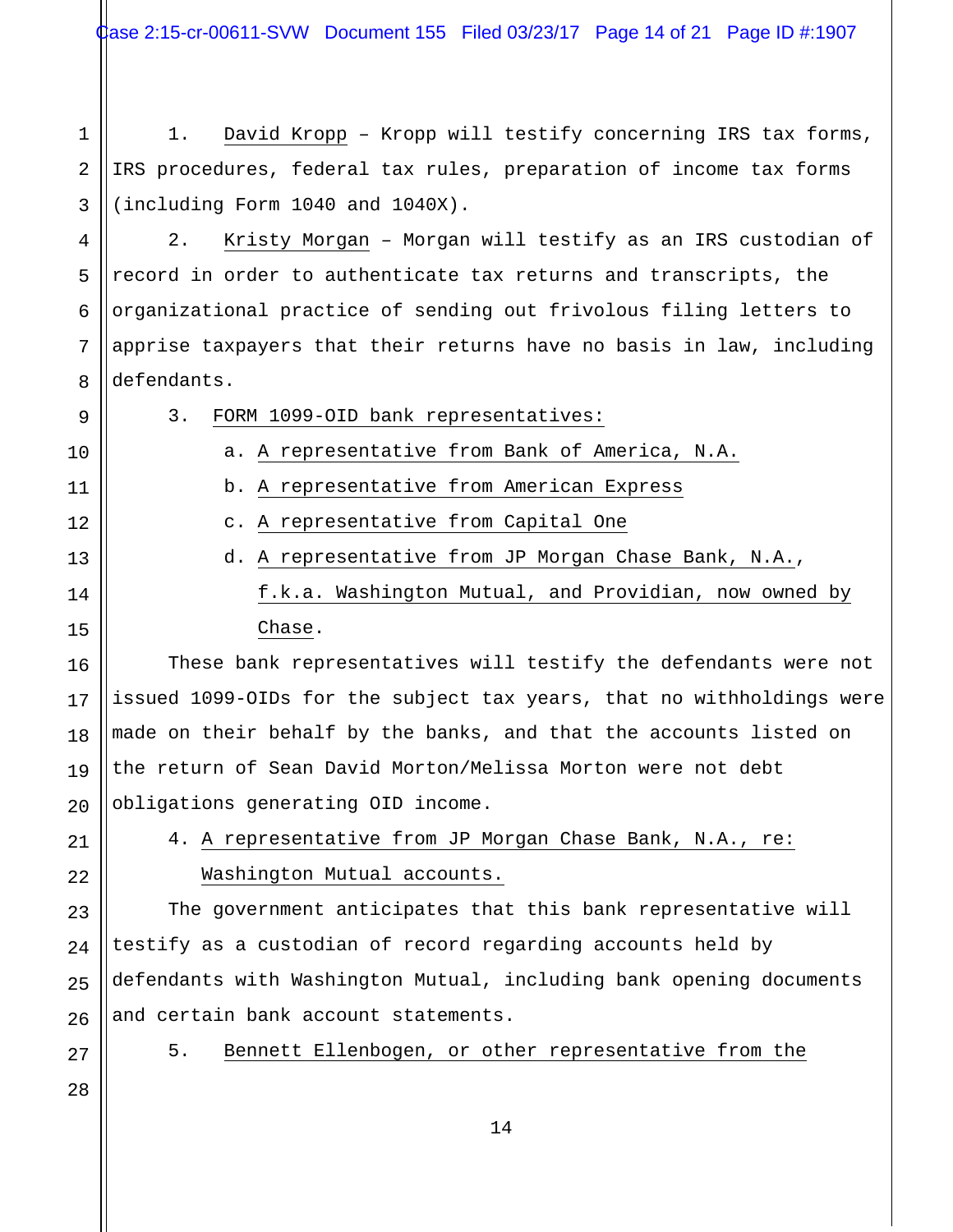Case 2:15-cr-00611-SVW Document 155 Filed 03/23/17 Page 14 of 21 Page ID #:1907

1 2 3 1. David Kropp – Kropp will testify concerning IRS tax forms, IRS procedures, federal tax rules, preparation of income tax forms (including Form 1040 and 1040X).

4 5 6 7 8 2. Kristy Morgan – Morgan will testify as an IRS custodian of record in order to authenticate tax returns and transcripts, the organizational practice of sending out frivolous filing letters to apprise taxpayers that their returns have no basis in law, including defendants.

| 9  | 3.<br>FORM 1099-OID bank representatives:                             |  |
|----|-----------------------------------------------------------------------|--|
| 10 | a. A representative from Bank of America, N.A.                        |  |
| 11 | b. A representative from American Express                             |  |
| 12 | c. A representative from Capital One                                  |  |
| 13 | d. A representative from JP Morgan Chase Bank, N.A.,                  |  |
| 14 | f.k.a. Washington Mutual, and Providian, now owned by                 |  |
| 15 | Chase.                                                                |  |
| 16 | These bank representatives will testify the defendants were not       |  |
| 17 | issued 1099-OIDs for the subject tax years, that no withholdings were |  |
| 18 | made on their behalf by the banks, and that the accounts listed on    |  |
| 19 | the return of Sean David Morton/Melissa Morton were not debt          |  |
| 20 | obligations generating OID income.                                    |  |
| 21 | 4. A representative from JP Morgan Chase Bank, N.A., re:              |  |
| 22 | Washington Mutual accounts.                                           |  |

The government anticipates that this bank representative will testify as a custodian of record regarding accounts held by defendants with Washington Mutual, including bank opening documents and certain bank account statements.

27

23

24

25

26

28

5. Bennett Ellenbogen, or other representative from the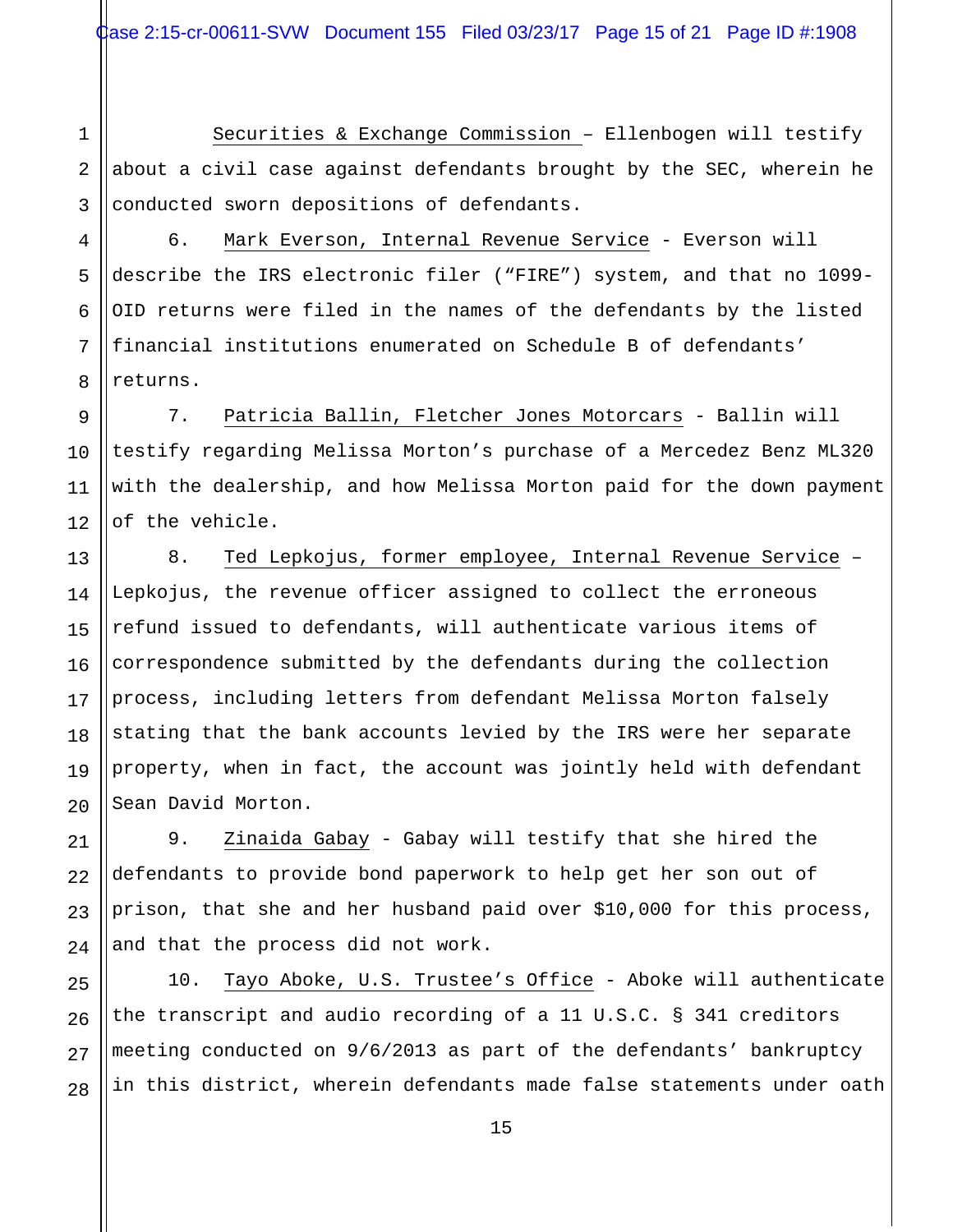1 2 3 Securities & Exchange Commission – Ellenbogen will testify about a civil case against defendants brought by the SEC, wherein he conducted sworn depositions of defendants.

4 5 6 7 8 6. Mark Everson, Internal Revenue Service - Everson will describe the IRS electronic filer ("FIRE") system, and that no 1099- OID returns were filed in the names of the defendants by the listed financial institutions enumerated on Schedule B of defendants' returns.

9 10 11 12 7. Patricia Ballin, Fletcher Jones Motorcars - Ballin will testify regarding Melissa Morton's purchase of a Mercedez Benz ML320 with the dealership, and how Melissa Morton paid for the down payment of the vehicle.

13 14 15 16 17 18 19 20 8. Ted Lepkojus, former employee, Internal Revenue Service – Lepkojus, the revenue officer assigned to collect the erroneous refund issued to defendants, will authenticate various items of correspondence submitted by the defendants during the collection process, including letters from defendant Melissa Morton falsely stating that the bank accounts levied by the IRS were her separate property, when in fact, the account was jointly held with defendant Sean David Morton.

21 22 23 24 9. Zinaida Gabay - Gabay will testify that she hired the defendants to provide bond paperwork to help get her son out of prison, that she and her husband paid over \$10,000 for this process, and that the process did not work.

25 26 27 28 10. Tayo Aboke, U.S. Trustee's Office - Aboke will authenticate the transcript and audio recording of a 11 U.S.C. § 341 creditors meeting conducted on 9/6/2013 as part of the defendants' bankruptcy in this district, wherein defendants made false statements under oath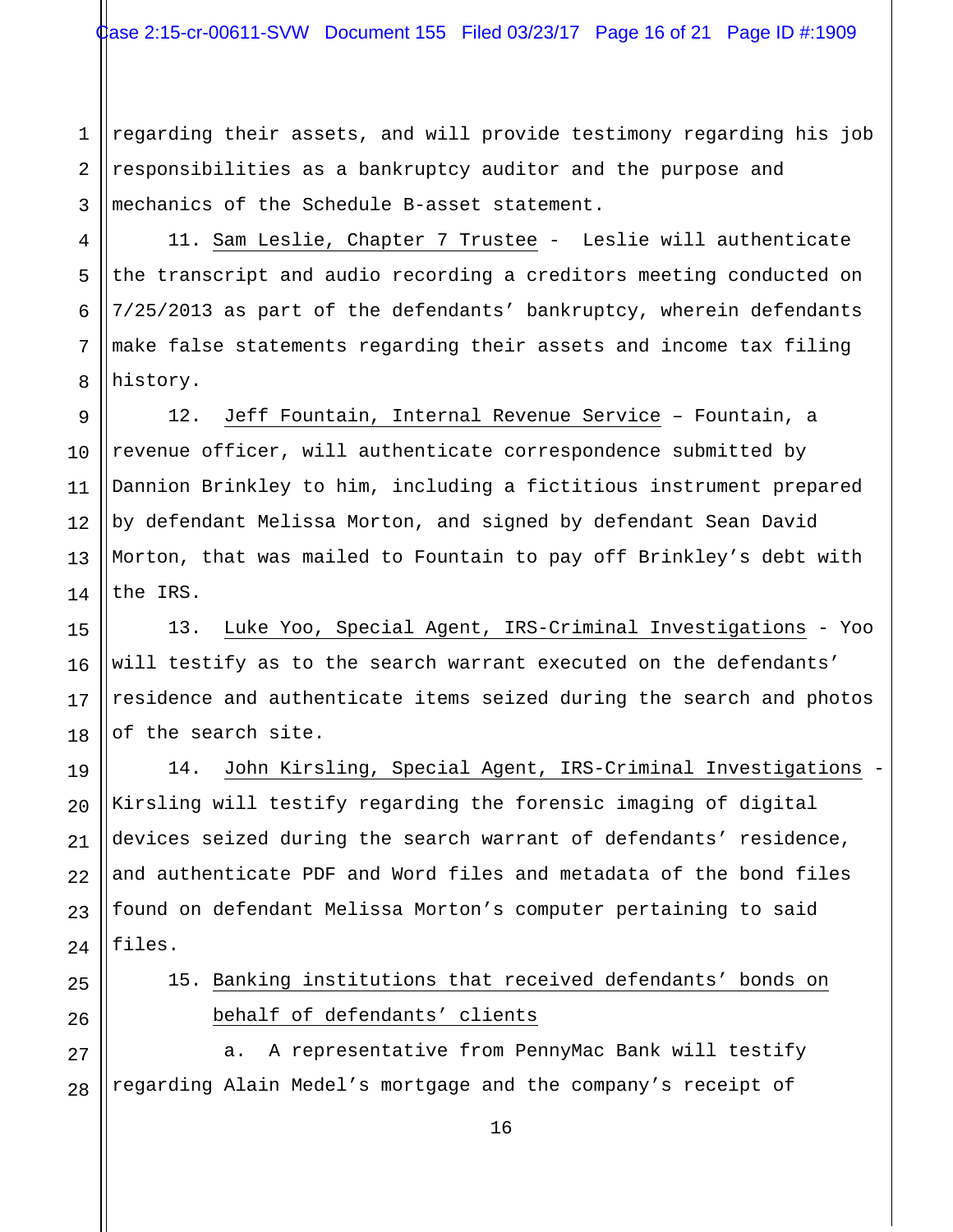1 2 3 regarding their assets, and will provide testimony regarding his job responsibilities as a bankruptcy auditor and the purpose and mechanics of the Schedule B-asset statement.

4 5 6 7 8 11. Sam Leslie, Chapter 7 Trustee - Leslie will authenticate the transcript and audio recording a creditors meeting conducted on 7/25/2013 as part of the defendants' bankruptcy, wherein defendants make false statements regarding their assets and income tax filing history.

9 10 11 12 12. Jeff Fountain, Internal Revenue Service – Fountain, a revenue officer, will authenticate correspondence submitted by Dannion Brinkley to him, including a fictitious instrument prepared by defendant Melissa Morton, and signed by defendant Sean David Morton, that was mailed to Fountain to pay off Brinkley's debt with the IRS.

13. Luke Yoo, Special Agent, IRS-Criminal Investigations - Yoo will testify as to the search warrant executed on the defendants' residence and authenticate items seized during the search and photos of the search site.

14. John Kirsling, Special Agent, IRS-Criminal Investigations - Kirsling will testify regarding the forensic imaging of digital devices seized during the search warrant of defendants' residence, and authenticate PDF and Word files and metadata of the bond files found on defendant Melissa Morton's computer pertaining to said files.

15. Banking institutions that received defendants' bonds on behalf of defendants' clients

27 a. A representative from PennyMac Bank will testify regarding Alain Medel's mortgage and the company's receipt of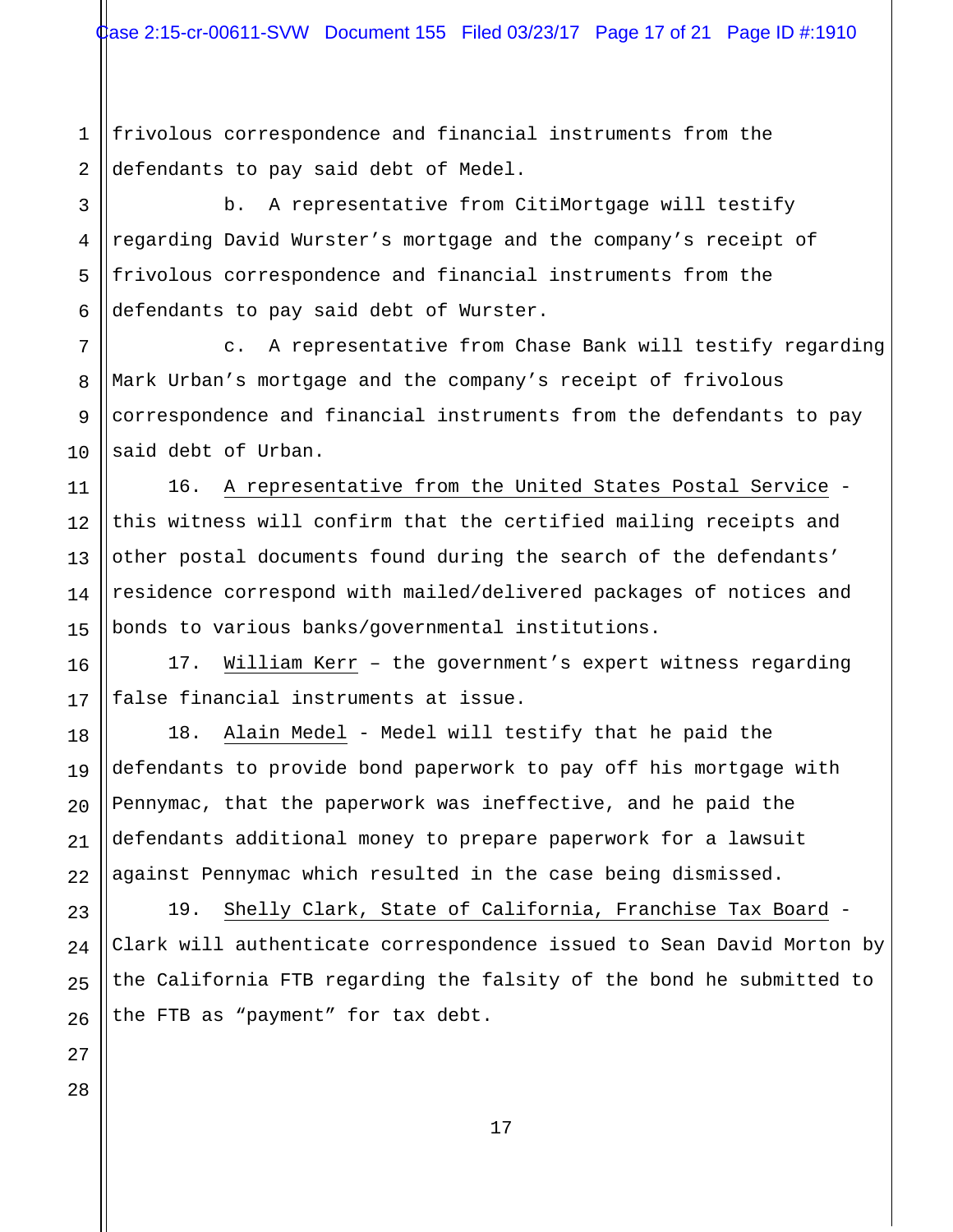1 2 frivolous correspondence and financial instruments from the defendants to pay said debt of Medel.

3 4 5 6 b. A representative from CitiMortgage will testify regarding David Wurster's mortgage and the company's receipt of frivolous correspondence and financial instruments from the defendants to pay said debt of Wurster.

c. A representative from Chase Bank will testify regarding Mark Urban's mortgage and the company's receipt of frivolous correspondence and financial instruments from the defendants to pay said debt of Urban.

16. A representative from the United States Postal Service this witness will confirm that the certified mailing receipts and other postal documents found during the search of the defendants' residence correspond with mailed/delivered packages of notices and bonds to various banks/governmental institutions.

17. William Kerr – the government's expert witness regarding false financial instruments at issue.

18. Alain Medel - Medel will testify that he paid the defendants to provide bond paperwork to pay off his mortgage with Pennymac, that the paperwork was ineffective, and he paid the defendants additional money to prepare paperwork for a lawsuit against Pennymac which resulted in the case being dismissed.

19. Shelly Clark, State of California, Franchise Tax Board - Clark will authenticate correspondence issued to Sean David Morton by the California FTB regarding the falsity of the bond he submitted to the FTB as "payment" for tax debt.

28

7

8

9

10

11

12

13

14

15

16

17

18

19

20

21

22

23

24

25

26

27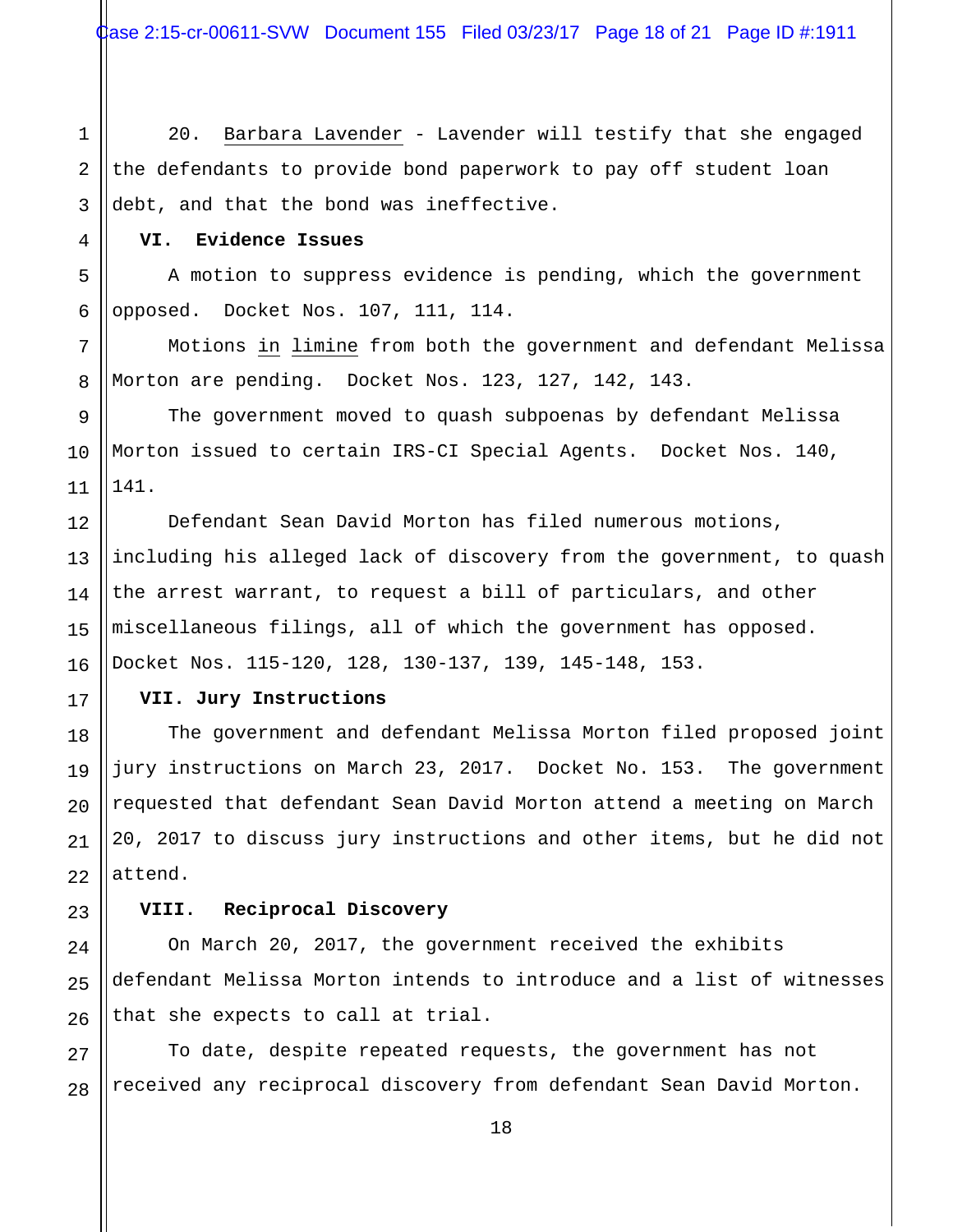1 2 3 20. Barbara Lavender - Lavender will testify that she engaged the defendants to provide bond paperwork to pay off student loan debt, and that the bond was ineffective.

# **VI. Evidence Issues**

4

5

6

7

8

12

13

14

15

16

17

18

19

20

21

22

23

24

25

26

A motion to suppress evidence is pending, which the government opposed. Docket Nos. 107, 111, 114.

Motions in limine from both the government and defendant Melissa Morton are pending. Docket Nos. 123, 127, 142, 143.

9 10 11 The government moved to quash subpoenas by defendant Melissa Morton issued to certain IRS-CI Special Agents. Docket Nos. 140, 141.

Defendant Sean David Morton has filed numerous motions, including his alleged lack of discovery from the government, to quash the arrest warrant, to request a bill of particulars, and other miscellaneous filings, all of which the government has opposed. Docket Nos. 115-120, 128, 130-137, 139, 145-148, 153.

### **VII. Jury Instructions**

The government and defendant Melissa Morton filed proposed joint jury instructions on March 23, 2017. Docket No. 153. The government requested that defendant Sean David Morton attend a meeting on March 20, 2017 to discuss jury instructions and other items, but he did not attend.

### **VIII. Reciprocal Discovery**

On March 20, 2017, the government received the exhibits defendant Melissa Morton intends to introduce and a list of witnesses that she expects to call at trial.

27 28 To date, despite repeated requests, the government has not received any reciprocal discovery from defendant Sean David Morton.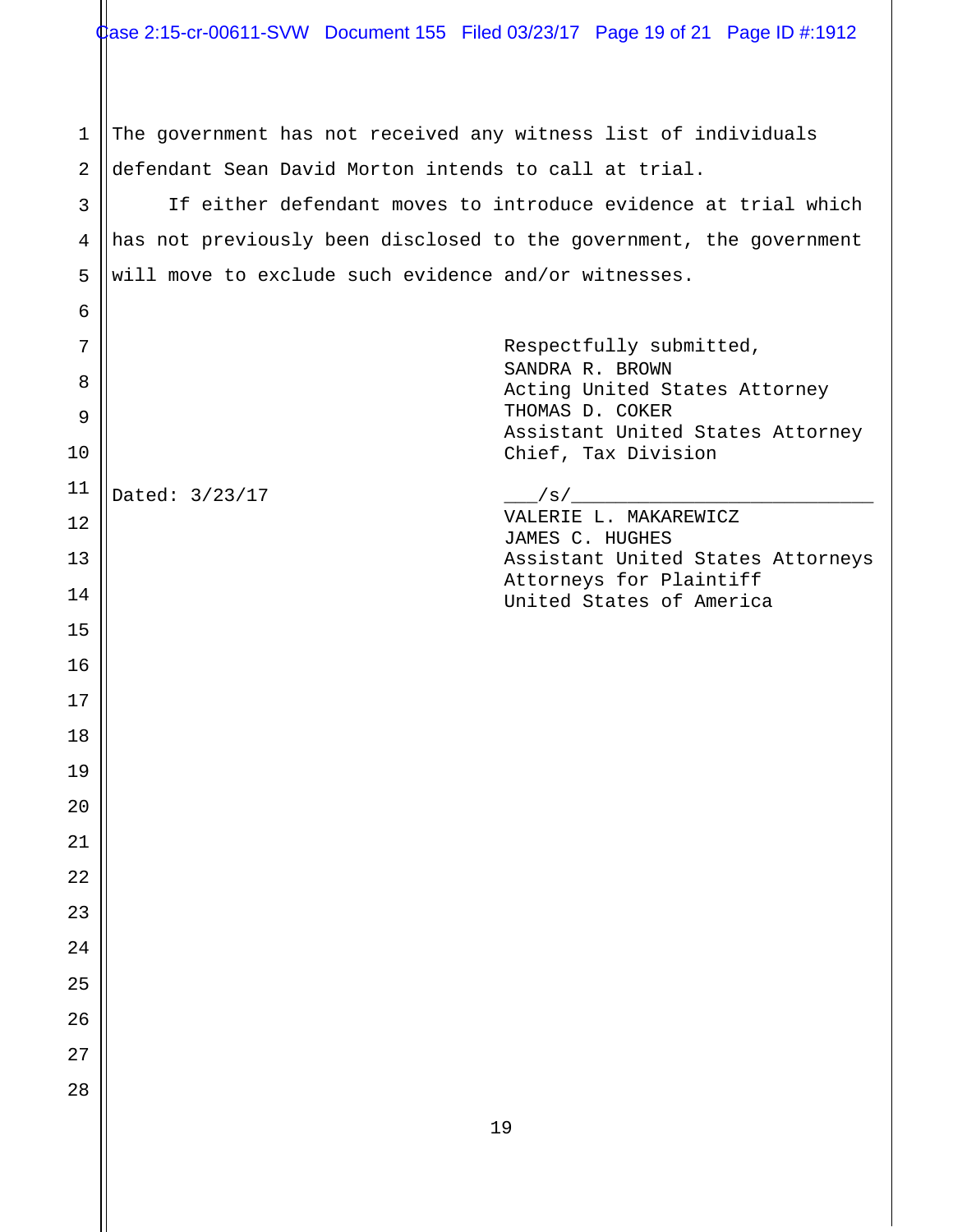1 2 The government has not received any witness list of individuals defendant Sean David Morton intends to call at trial.

3 4 5 If either defendant moves to introduce evidence at trial which has not previously been disclosed to the government, the government will move to exclude such evidence and/or witnesses.

| 6  |                |                                                         |
|----|----------------|---------------------------------------------------------|
| 7  |                | Respectfully submitted,                                 |
| 8  |                | SANDRA R. BROWN<br>Acting United States Attorney        |
| 9  |                | THOMAS D. COKER                                         |
| 10 |                | Assistant United States Attorney<br>Chief, Tax Division |
| 11 | Dated: 3/23/17 |                                                         |
| 12 |                | VALERIE L. MAKAREWICZ<br>JAMES C. HUGHES                |
| 13 |                | Assistant United States Attorneys                       |
| 14 |                | Attorneys for Plaintiff<br>United States of America     |
| 15 |                |                                                         |
| 16 |                |                                                         |
| 17 |                |                                                         |
| 18 |                |                                                         |
| 19 |                |                                                         |
| 20 |                |                                                         |
| 21 |                |                                                         |
| 22 |                |                                                         |
| 23 |                |                                                         |
| 24 |                |                                                         |
| 25 |                |                                                         |
| 26 |                |                                                         |
| 27 |                |                                                         |
| 28 |                |                                                         |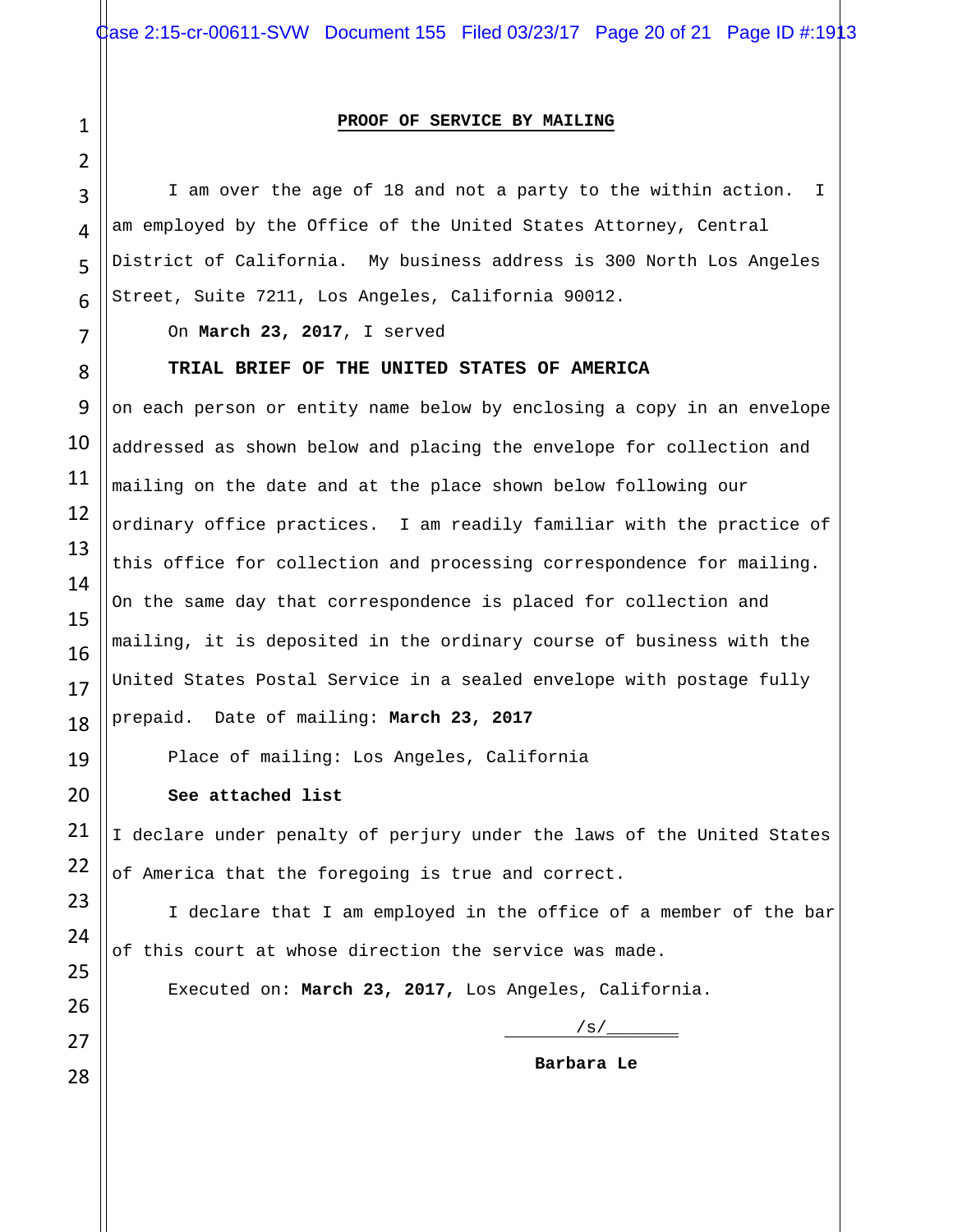#### **PROOF OF SERVICE BY MAILING**

 I am over the age of 18 and not a party to the within action. I am employed by the Office of the United States Attorney, Central District of California. My business address is 300 North Los Angeles Street, Suite 7211, Los Angeles, California 90012.

On **March 23, 2017**, I served

#### **TRIAL BRIEF OF THE UNITED STATES OF AMERICA**

on each person or entity name below by enclosing a copy in an envelope addressed as shown below and placing the envelope for collection and mailing on the date and at the place shown below following our ordinary office practices. I am readily familiar with the practice of this office for collection and processing correspondence for mailing. On the same day that correspondence is placed for collection and mailing, it is deposited in the ordinary course of business with the United States Postal Service in a sealed envelope with postage fully prepaid. Date of mailing: **March 23, 2017**

Place of mailing: Los Angeles, California

**See attached list**

I declare under penalty of perjury under the laws of the United States of America that the foregoing is true and correct.

 I declare that I am employed in the office of a member of the bar of this court at whose direction the service was made.

Executed on: **March 23, 2017,** Los Angeles, California.

 $\sqrt{s}/\_\_$ 

 **Barbara Le**